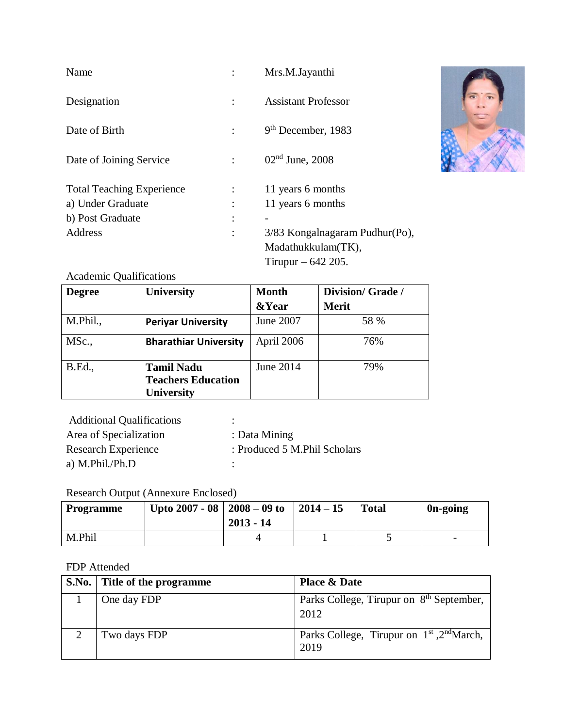| Name                             |   | Mrs.M.Jayanthi                 |
|----------------------------------|---|--------------------------------|
| Designation                      |   | <b>Assistant Professor</b>     |
| Date of Birth                    |   | $9th$ December, 1983           |
| Date of Joining Service          |   | $02nd$ June, 2008              |
| <b>Total Teaching Experience</b> |   | 11 years 6 months              |
| a) Under Graduate                |   | 11 years 6 months              |
| b) Post Graduate                 | ٠ |                                |
| Address                          |   | 3/83 Kongalnagaram Pudhur(Po), |
|                                  |   | Madathukkulam(TK),             |
|                                  |   | Tirupur $-642$ 205.            |



| <b>Degree</b>  | <b>University</b>                                                   | <b>Month</b>     | Division/Grade/ |
|----------------|---------------------------------------------------------------------|------------------|-----------------|
|                |                                                                     | <b>&amp;Year</b> | <b>Merit</b>    |
| M.Phil.,       | <b>Periyar University</b>                                           | June 2007        | 58 %            |
| MSc.,          | <b>Bharathiar University</b>                                        | April 2006       | 76%             |
| <b>B.Ed.</b> , | <b>Tamil Nadu</b><br><b>Teachers Education</b><br><b>University</b> | June 2014        | 79%             |

| <b>Additional Qualifications</b> | $\overline{\phantom{a}}$     |
|----------------------------------|------------------------------|
| Area of Specialization           | : Data Mining                |
| Research Experience              | : Produced 5 M.Phil Scholars |
| a) M.Phil./Ph.D                  |                              |

# Research Output (Annexure Enclosed)

| <b>Programme</b> | Upto 2007 - 08   2008 - 09 to | $2013 - 14$ | $2014 - 15$ | <b>Total</b> | 0n-going                 |
|------------------|-------------------------------|-------------|-------------|--------------|--------------------------|
| M.Phil           |                               |             |             |              | $\overline{\phantom{0}}$ |

#### FDP Attended

| S.No. Title of the programme | <b>Place &amp; Date</b>                                      |
|------------------------------|--------------------------------------------------------------|
| One day FDP                  | Parks College, Tirupur on 8 <sup>th</sup> September,<br>2012 |
| Two days FDP                 | Parks College, Tirupur on $1st$ , $2nd March$ ,<br>2019      |

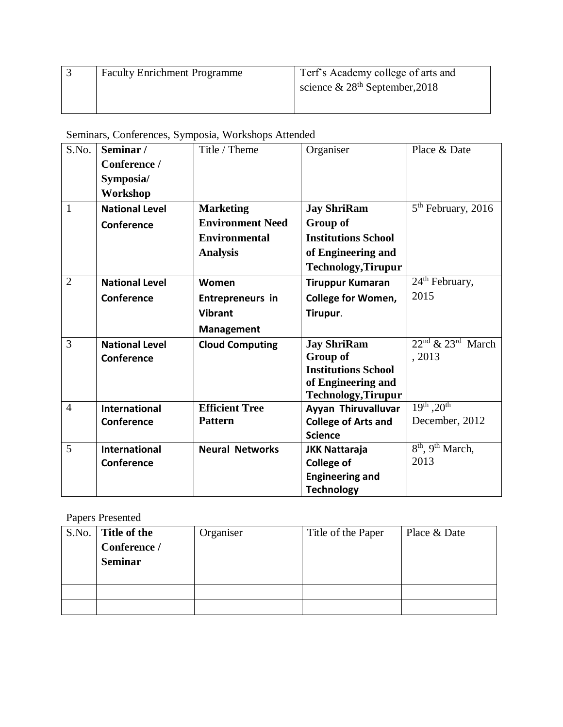| <b>Faculty Enrichment Programme</b> | Terf's Academy college of arts and |
|-------------------------------------|------------------------------------|
|                                     | science & $28th$ September, 2018   |
|                                     |                                    |

Seminars, Conferences, Symposia, Workshops Attended

| S.No.          | Seminar/              | Title / Theme           | Organiser                  | Place & Date                             |
|----------------|-----------------------|-------------------------|----------------------------|------------------------------------------|
|                | Conference /          |                         |                            |                                          |
|                | Symposia/             |                         |                            |                                          |
|                | Workshop              |                         |                            |                                          |
| $\mathbf{1}$   | <b>National Level</b> | <b>Marketing</b>        | <b>Jay ShriRam</b>         | 5 <sup>th</sup> February, 2016           |
|                | Conference            | <b>Environment Need</b> | Group of                   |                                          |
|                |                       | <b>Environmental</b>    | <b>Institutions School</b> |                                          |
|                |                       | <b>Analysis</b>         | of Engineering and         |                                          |
|                |                       |                         | <b>Technology, Tirupur</b> |                                          |
| $\overline{2}$ | <b>National Level</b> | Women                   | <b>Tiruppur Kumaran</b>    | $24th$ February,                         |
|                | Conference            | <b>Entrepreneurs in</b> | <b>College for Women,</b>  | 2015                                     |
|                |                       | <b>Vibrant</b>          | Tirupur.                   |                                          |
|                |                       | <b>Management</b>       |                            |                                          |
| 3              | <b>National Level</b> | <b>Cloud Computing</b>  | <b>Jay ShriRam</b>         | $22nd$ & $23rd$ March                    |
|                | Conference            |                         | Group of                   | , 2013                                   |
|                |                       |                         | <b>Institutions School</b> |                                          |
|                |                       |                         | of Engineering and         |                                          |
|                |                       |                         | <b>Technology, Tirupur</b> |                                          |
| $\overline{4}$ | <b>International</b>  | <b>Efficient Tree</b>   | Ayyan Thiruvalluvar        | $19^{th}$ , $20^{th}$                    |
|                | Conference            | <b>Pattern</b>          | <b>College of Arts and</b> | December, 2012                           |
|                |                       |                         | <b>Science</b>             |                                          |
| 5              | <b>International</b>  | <b>Neural Networks</b>  | <b>JKK Nattaraja</b>       | 8 <sup>th</sup> , 9 <sup>th</sup> March, |
|                | Conference            |                         | <b>College of</b>          | 2013                                     |
|                |                       |                         | <b>Engineering and</b>     |                                          |
|                |                       |                         | <b>Technology</b>          |                                          |

Papers Presented

| S.No. | Title of the<br>Conference /<br><b>Seminar</b> | Organiser | Title of the Paper | Place & Date |
|-------|------------------------------------------------|-----------|--------------------|--------------|
|       |                                                |           |                    |              |
|       |                                                |           |                    |              |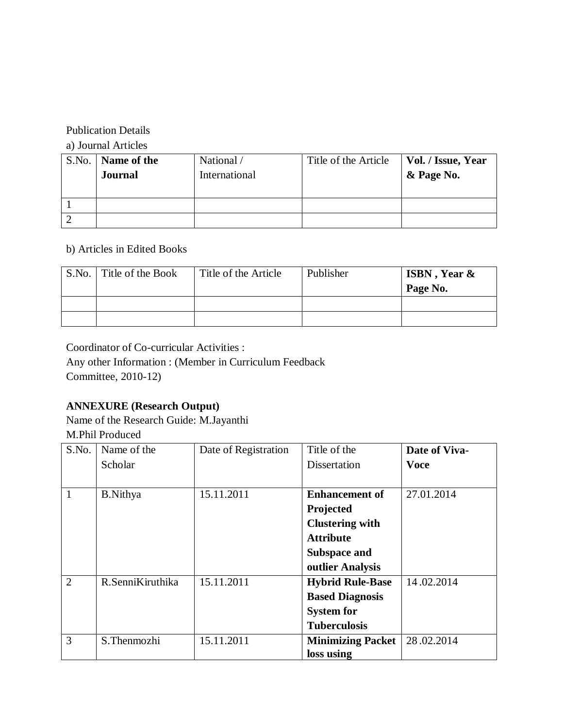# Publication Details

a) Journal Articles

| S.No. | Name of the<br><b>Journal</b> | National /<br>International | Title of the Article | Vol. / Issue, Year<br>& Page No. |
|-------|-------------------------------|-----------------------------|----------------------|----------------------------------|
|       |                               |                             |                      |                                  |
|       |                               |                             |                      |                                  |

## b) Articles in Edited Books

| S.No. Title of the Book | Title of the Article | Publisher | <b>ISBN</b> , Year &<br>Page No. |
|-------------------------|----------------------|-----------|----------------------------------|
|                         |                      |           |                                  |
|                         |                      |           |                                  |

Coordinator of Co-curricular Activities :

Any other Information : (Member in Curriculum Feedback Committee, 2010-12)

## **ANNEXURE (Research Output)**

Name of the Research Guide: M.Jayanthi M.Phil Produced

| S.No.          | Name of the      | Date of Registration | Title of the             | Date of Viva- |
|----------------|------------------|----------------------|--------------------------|---------------|
|                | <b>Scholar</b>   |                      | Dissertation             | <b>Voce</b>   |
|                |                  |                      |                          |               |
| 1              | <b>B.Nithya</b>  | 15.11.2011           | <b>Enhancement of</b>    | 27.01.2014    |
|                |                  |                      | Projected                |               |
|                |                  |                      | <b>Clustering with</b>   |               |
|                |                  |                      | <b>Attribute</b>         |               |
|                |                  |                      | <b>Subspace and</b>      |               |
|                |                  |                      | outlier Analysis         |               |
| $\overline{2}$ | R.SenniKiruthika | 15.11.2011           | <b>Hybrid Rule-Base</b>  | 14.02.2014    |
|                |                  |                      | <b>Based Diagnosis</b>   |               |
|                |                  |                      | <b>System for</b>        |               |
|                |                  |                      | <b>Tuberculosis</b>      |               |
| 3              | S.Thenmozhi      | 15.11.2011           | <b>Minimizing Packet</b> | 28.02.2014    |
|                |                  |                      | loss using               |               |